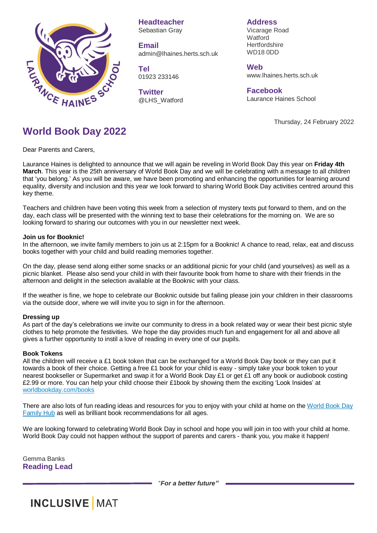

**Headteacher** Sebastian Gray

**Email** admin@lhaines.herts.sch.uk

**Tel** 01923 233146

**Twitter** @LHS\_Watford

**Address** Vicarage Road **Watford Hertfordshire** WD18 0DD

**Web** www.lhaines.herts.sch.uk

**Facebook** Laurance Haines School

Thursday, 24 February 2022

## **World Book Day 2022**

Dear Parents and Carers,

Laurance Haines is delighted to announce that we will again be reveling in World Book Day this year on **Friday 4th March**. This year is the 25th anniversary of World Book Day and we will be celebrating with a message to all children that 'you belong.' As you will be aware, we have been promoting and enhancing the opportunities for learning around equality, diversity and inclusion and this year we look forward to sharing World Book Day activities centred around this key theme.

Teachers and children have been voting this week from a selection of mystery texts put forward to them, and on the day, each class will be presented with the winning text to base their celebrations for the morning on. We are so looking forward to sharing our outcomes with you in our newsletter next week.

## **Join us for Booknic!**

In the afternoon, we invite family members to join us at 2:15pm for a Booknic! A chance to read, relax, eat and discuss books together with your child and build reading memories together.

On the day, please send along either some snacks or an additional picnic for your child (and yourselves) as well as a picnic blanket. Please also send your child in with their favourite book from home to share with their friends in the afternoon and delight in the selection available at the Booknic with your class.

If the weather is fine, we hope to celebrate our Booknic outside but failing please join your children in their classrooms via the outside door, where we will invite you to sign in for the afternoon.

## **Dressing up**

As part of the day's celebrations we invite our community to dress in a book related way or wear their best picnic style clothes to help promote the festivities. We hope the day provides much fun and engagement for all and above all gives a further opportunity to instil a love of reading in every one of our pupils.

## **Book Tokens**

All the children will receive a £1 book token that can be exchanged for a World Book Day book or they can put it towards a book of their choice. Getting a free £1 book for your child is easy - simply take your book token to your nearest bookseller or Supermarket and swap it for a World Book Day £1 or get £1 off any book or audiobook costing £2.99 or more. You can help your child choose their £1book by showing them the exciting 'Look Insides' at [worldbookday.com/books](https://www.worldbookday.com/books/)

There are also lots of fun reading ideas and resources for you to enjoy with your child at home on the [World](https://www.worldbookday.com/families/) Book Day [Family](https://www.worldbookday.com/families/) Hub as well as brilliant book recommendations for all ages.

We are looking forward to celebrating World Book Day in school and hope you will join in too with your child at home. World Book Day could not happen without the support of parents and carers - thank you, you make it happen!

Gemma Banks **Reading Lead**

"*For a better future"*